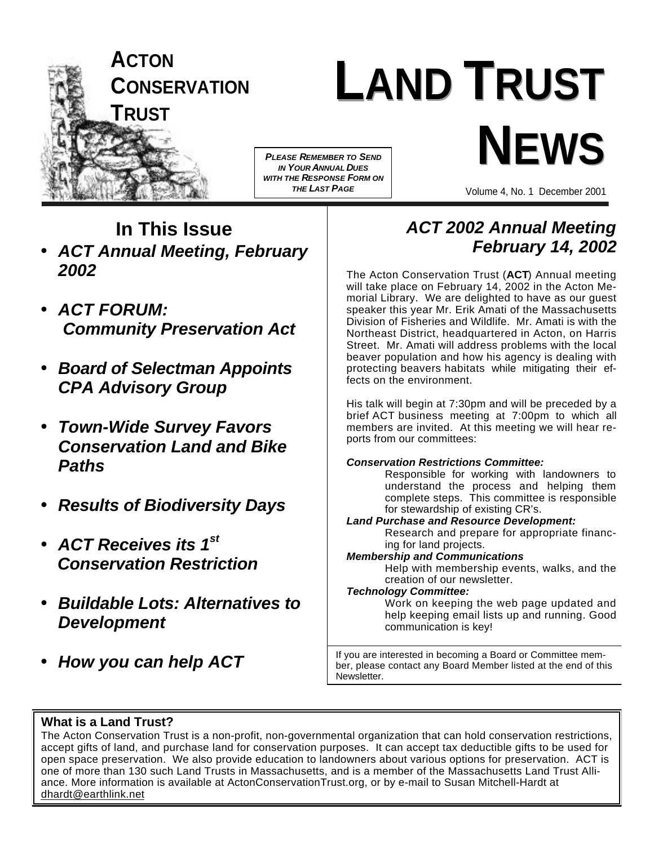

# **LAND TRUST NEWS** *PLEASE REMEMBER TO SEND*

*IN YOUR ANNUAL DUES WITH THE RESPONSE FORM ON THE LAST PAGE*

Volume 4,No. 1 December 2001

## **In This Issue**

- *ACT Annual Meeting, February 2002*
- *ACT FORUM: Community Preservation Act*
- *Board of Selectman Appoints CPA Advisory Group*
- *Town-Wide Survey Favors Conservation Land and Bike Paths*
- *Results of Biodiversity Days*
- *ACT Receives its 1st Conservation Restriction*
- *Buildable Lots: Alternatives to Development*
- *How you can help ACT*

### *ACT 2002 Annual Meeting February 14, 2002*

The Acton Conservation Trust (**ACT**) Annual meeting will take place on February 14, 2002 in the Acton Memorial Library. We are delighted to have as our guest speaker this year Mr. Erik Amati of the Massachusetts Division of Fisheries and Wildlife. Mr. Amati is with the Northeast District, headquartered in Acton, on Harris Street. Mr. Amati will address problems with the local beaver population and how his agency is dealing with protecting beavers habitats while mitigating their effects on the environment.

His talk will begin at 7:30pm and will be preceded by a brief ACT business meeting at 7:00pm to which all members are invited. At this meeting we will hear reports from our committees:

### *Conservation Restrictions Committee:*

Responsible for working with landowners to understand the process and helping them complete steps. This committee is responsible for stewardship of existing CR's.

### *Land Purchase and Resource Development:*

Research and prepare for appropriate financing for land projects.

### *Membership and Communications*

Help with membership events, walks, and the creation of our newsletter.

### *Technology Committee:*

Work on keeping the web page updated and help keeping email lists up and running. Good communication is key!

If you are interested in becoming a Board or Committee member, please contact any Board Member listed at the end of this Newsletter.

### **What is a Land Trust?**

The Acton Conservation Trust is a non-profit, non-governmental organization that can hold conservation restrictions, accept gifts of land, and purchase land for conservation purposes. It can accept tax deductible gifts to be used for open space preservation. We also provide education to landowners about various options for preservation. ACT is one of more than 130 such Land Trusts in Massachusetts, and is a member of the Massachusetts Land Trust Alliance. More information is available at ActonConservationTrust.org, or by e-mail to Susan Mitchell-Hardt at dhardt@earthlink.net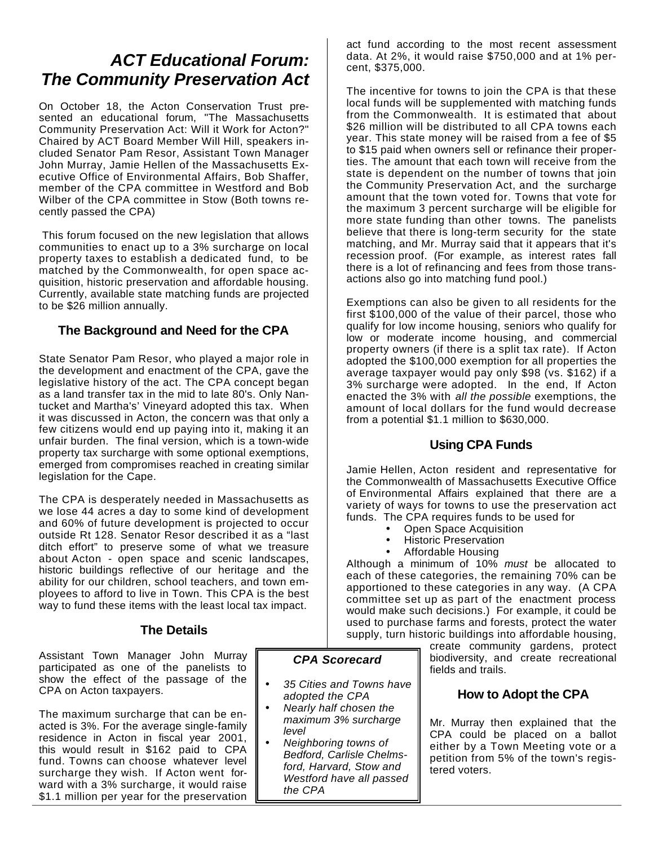### *ACT Educational Forum: The Community Preservation Act*

On October 18, the Acton Conservation Trust presented an educational forum, "The Massachusetts Community Preservation Act: Will it Work for Acton?" Chaired by ACT Board Member Will Hill, speakers included Senator Pam Resor, Assistant Town Manager John Murray, Jamie Hellen of the Massachusetts Executive Office of Environmental Affairs, Bob Shaffer, member of the CPA committee in Westford and Bob Wilber of the CPA committee in Stow (Both towns recently passed the CPA)

 This forum focused on the new legislation that allows communities to enact up to a 3% surcharge on local property taxes to establish a dedicated fund, to be matched by the Commonwealth, for open space acquisition, historic preservation and affordable housing. Currently, available state matching funds are projected to be \$26 million annually.

### **The Background and Need for the CPA**

State Senator Pam Resor, who played a major role in the development and enactment of the CPA, gave the legislative history of the act. The CPA concept began as a land transfer tax in the mid to late 80's. Only Nantucket and Martha's' Vineyard adopted this tax. When it was discussed in Acton, the concern was that only a few citizens would end up paying into it, making it an unfair burden. The final version, which is a town-wide property tax surcharge with some optional exemptions, emerged from compromises reached in creating similar legislation for the Cape.

The CPA is desperately needed in Massachusetts as we lose 44 acres a day to some kind of development and 60% of future development is projected to occur outside Rt 128. Senator Resor described it as a "last ditch effort" to preserve some of what we treasure about Acton - open space and scenic landscapes, historic buildings reflective of our heritage and the ability for our children, school teachers, and town employees to afford to live in Town. This CPA is the best way to fund these items with the least local tax impact.

### **The Details**

Assistant Town Manager John Murray participated as one of the panelists to show the effect of the passage of the CPA on Acton taxpayers.

The maximum surcharge that can be enacted is 3%. For the average single-family residence in Acton in fiscal year 2001, this would result in \$162 paid to CPA fund. Towns can choose whatever level surcharge they wish. If Acton went forward with a 3% surcharge, it would raise \$1.1 million per year for the preservation act fund according to the most recent assessment data. At 2%, it would raise \$750,000 and at 1% percent, \$375,000.

The incentive for towns to join the CPA is that these local funds will be supplemented with matching funds from the Commonwealth. It is estimated that about \$26 million will be distributed to all CPA towns each year. This state money will be raised from a fee of \$5 to \$15 paid when owners sell or refinance their properties. The amount that each town will receive from the state is dependent on the number of towns that join the Community Preservation Act, and the surcharge amount that the town voted for. Towns that vote for the maximum 3 percent surcharge will be eligible for more state funding than other towns. The panelists believe that there is long-term security for the state matching, and Mr. Murray said that it appears that it's recession proof. (For example, as interest rates fall there is a lot of refinancing and fees from those transactions also go into matching fund pool.)

Exemptions can also be given to all residents for the first \$100,000 of the value of their parcel, those who qualify for low income housing, seniors who qualify for low or moderate income housing, and commercial property owners (if there is a split tax rate). If Acton adopted the \$100,000 exemption for all properties the average taxpayer would pay only \$98 (vs. \$162) if a 3% surcharge were adopted. In the end, If Acton enacted the 3% with *all the possible* exemptions, the amount of local dollars for the fund would decrease from a potential \$1.1 million to \$630,000.

### **Using CPA Funds**

Jamie Hellen, Acton resident and representative for the Commonwealth of Massachusetts Executive Office of Environmental Affairs explained that there are a variety of ways for towns to use the preservation act funds. The CPA requires funds to be used for

- Open Space Acquisition
- Historic Preservation
- Affordable Housing

Although a minimum of 10% *must* be allocated to each of these categories, the remaining 70% can be apportioned to these categories in any way. (A CPA committee set up as part of the enactment process would make such decisions.) For example, it could be used to purchase farms and forests, protect the water supply, turn historic buildings into affordable housing,

> create community gardens, protect biodiversity, and create recreational fields and trails.

### **How to Adopt the CPA**

Mr. Murray then explained that the CPA could be placed on a ballot either by a Town Meeting vote or a petition from 5% of the town's registered voters.

### *CPA Scorecard*

- *35 Cities and Towns have adopted the CPA*
- *Nearly half chosen the maximum 3% surcharge level*
- *Neighboring towns of Bedford, Carlisle Chelmsford, Harvard, Stow and Westford have all passed the CPA*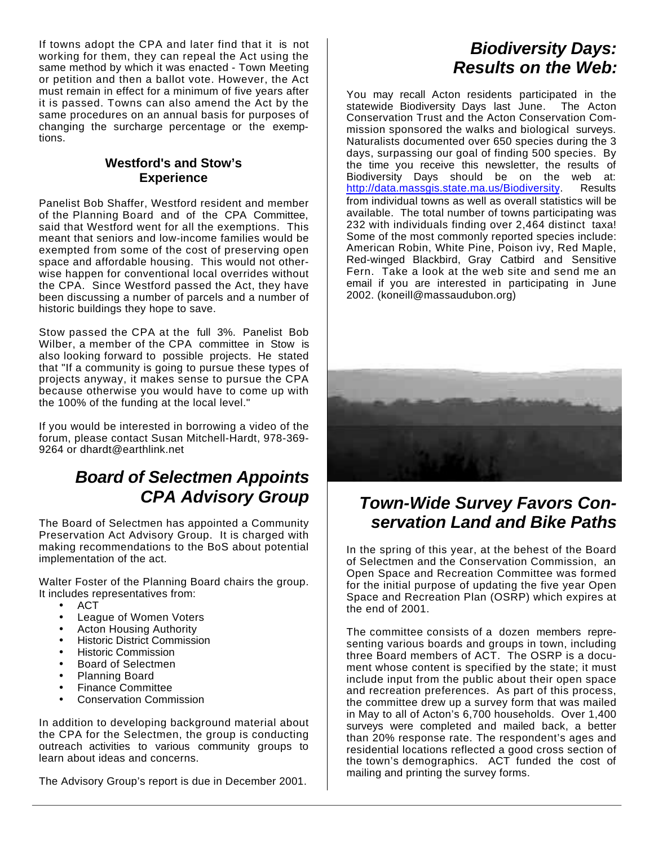If towns adopt the CPA and later find that it is not working for them, they can repeal the Act using the same method by which it was enacted - Town Meeting or petition and then a ballot vote. However, the Act must remain in effect for a minimum of five years after it is passed. Towns can also amend the Act by the same procedures on an annual basis for purposes of changing the surcharge percentage or the exemptions.

### **Westford's and Stow's Experience**

Panelist Bob Shaffer, Westford resident and member of the Planning Board and of the CPA Committee, said that Westford went for all the exemptions. This meant that seniors and low-income families would be exempted from some of the cost of preserving open space and affordable housing. This would not otherwise happen for conventional local overrides without the CPA. Since Westford passed the Act, they have been discussing a number of parcels and a number of historic buildings they hope to save.

Stow passed the CPA at the full 3%. Panelist Bob Wilber, a member of the CPA committee in Stow is also looking forward to possible projects. He stated that "If a community is going to pursue these types of projects anyway, it makes sense to pursue the CPA because otherwise you would have to come up with the 100% of the funding at the local level."

If you would be interested in borrowing a video of the forum, please contact Susan Mitchell-Hardt, 978-369- 9264 or dhardt@earthlink.net

### *Board of Selectmen Appoints CPA Advisory Group*

The Board of Selectmen has appointed a Community Preservation Act Advisory Group. It is charged with making recommendations to the BoS about potential implementation of the act.

Walter Foster of the Planning Board chairs the group. It includes representatives from:

- ACT
- League of Women Voters
- Acton Housing Authority
- Historic District Commission
- Historic Commission
- Board of Selectmen
- Planning Board
- Finance Committee
- Conservation Commission

In addition to developing background material about the CPA for the Selectmen, the group is conducting outreach activities to various community groups to learn about ideas and concerns.

The Advisory Group's report is due in December 2001.

### *Biodiversity Days: Results on the Web:*

You may recall Acton residents participated in the statewide Biodiversity Days last June. The Acton Conservation Trust and the Acton Conservation Commission sponsored the walks and biological surveys. Naturalists documented over 650 species during the 3 days, surpassing our goal of finding 500 species. By the time you receive this newsletter, the results of Biodiversity Days should be on the web at: http://data.massgis.state.ma.us/Biodiversity. Results from individual towns as well as overall statistics will be available. The total number of towns participating was 232 with individuals finding over 2,464 distinct taxa! Some of the most commonly reported species include: American Robin, White Pine, Poison ivy, Red Maple, Red-winged Blackbird, Gray Catbird and Sensitive Fern. Take a look at the web site and send me an email if you are interested in participating in June 2002. (koneill@massaudubon.org)



### *Town-Wide Survey Favors Conservation Land and Bike Paths*

In the spring of this year, at the behest of the Board of Selectmen and the Conservation Commission, an Open Space and Recreation Committee was formed for the initial purpose of updating the five year Open Space and Recreation Plan (OSRP) which expires at the end of 2001.

The committee consists of a dozen members representing various boards and groups in town, including three Board members of ACT. The OSRP is a document whose content is specified by the state; it must include input from the public about their open space and recreation preferences. As part of this process, the committee drew up a survey form that was mailed in May to all of Acton's 6,700 households. Over 1,400 surveys were completed and mailed back, a better than 20% response rate. The respondent's ages and residential locations reflected a good cross section of the town's demographics. ACT funded the cost of mailing and printing the survey forms.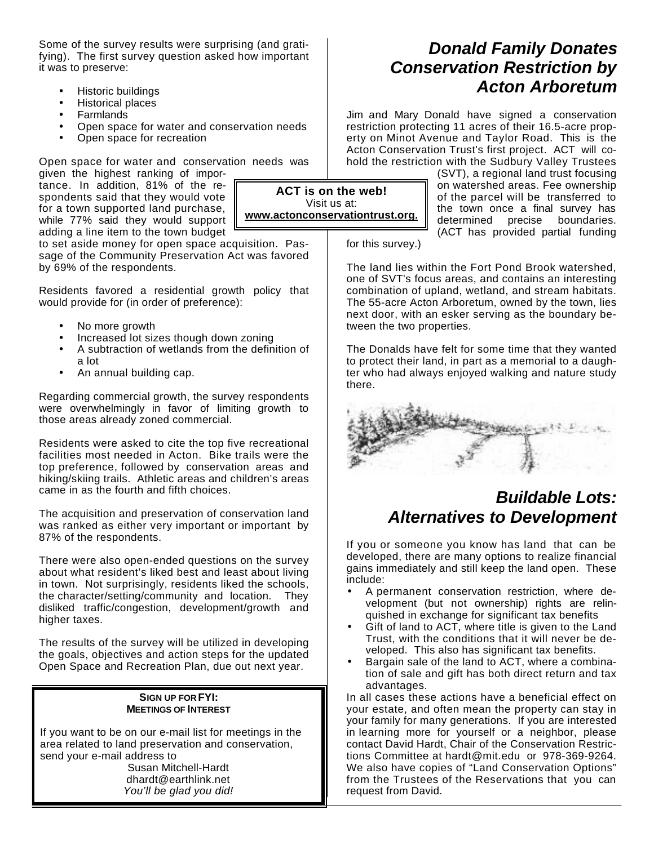Some of the survey results were surprising (and gratifying). The first survey question asked how important it was to preserve:

- Historic buildings
- Historical places
- **Farmlands**
- Open space for water and conservation needs
- Open space for recreation

Open space for water and conservation needs was

given the highest ranking of importance. In addition, 81% of the respondents said that they would vote for a town supported land purchase, while 77% said they would support adding a line item to the town budget

to set aside money for open space acquisition. Passage of the Community Preservation Act was favored by 69% of the respondents.

Residents favored a residential growth policy that would provide for (in order of preference):

- No more growth
- Increased lot sizes though down zoning
- A subtraction of wetlands from the definition of a lot
- An annual building cap.

Regarding commercial growth, the survey respondents were overwhelmingly in favor of limiting growth to those areas already zoned commercial.

Residents were asked to cite the top five recreational facilities most needed in Acton. Bike trails were the top preference, followed by conservation areas and hiking/skiing trails. Athletic areas and children's areas came in as the fourth and fifth choices.

The acquisition and preservation of conservation land was ranked as either very important or important by 87% of the respondents.

There were also open-ended questions on the survey about what resident's liked best and least about living in town. Not surprisingly, residents liked the schools, the character/setting/community and location. They disliked traffic/congestion, development/growth and higher taxes.

The results of the survey will be utilized in developing the goals, objectives and action steps for the updated Open Space and Recreation Plan, due out next year.

#### **SIGN UP FOR FYI: MEETINGS OF INTEREST**

If you want to be on our e-mail list for meetings in the area related to land preservation and conservation, send your e-mail address to

Susan Mitchell-Hardt dhardt@earthlink.net *You'll be glad you did!*

### *Donald Family Donates Conservation Restriction by Acton Arboretum*

Jim and Mary Donald have signed a conservation restriction protecting 11 acres of their 16.5-acre property on Minot Avenue and Taylor Road. This is the Acton Conservation Trust's first project. ACT will cohold the restriction with the Sudbury Valley Trustees

> (SVT), a regional land trust focusing on watershed areas. Fee ownership of the parcel will be transferred to the town once a final survey has determined precise boundaries. (ACT has provided partial funding

for this survey.)

The land lies within the Fort Pond Brook watershed, one of SVT's focus areas, and contains an interesting combination of upland, wetland, and stream habitats. The 55-acre Acton Arboretum, owned by the town, lies next door, with an esker serving as the boundary between the two properties.

The Donalds have felt for some time that they wanted to protect their land, in part as a memorial to a daughter who had always enjoyed walking and nature study there.



### *Buildable Lots: Alternatives to Development*

If you or someone you know has land that can be developed, there are many options to realize financial gains immediately and still keep the land open. These include:

- A permanent conservation restriction, where development (but not ownership) rights are relinquished in exchange for significant tax benefits
- Gift of land to ACT, where title is given to the Land Trust, with the conditions that it will never be developed. This also has significant tax benefits.
- Bargain sale of the land to ACT, where a combination of sale and gift has both direct return and tax advantages.

In all cases these actions have a beneficial effect on your estate, and often mean the property can stay in your family for many generations. If you are interested in learning more for yourself or a neighbor, please contact David Hardt, Chair of the Conservation Restrictions Committee at hardt@mit.edu or 978-369-9264. We also have copies of "Land Conservation Options" from the Trustees of the Reservations that you can request from David.

**ACT is on the web!** Visit us at: **www.actonconservationtrust.org.**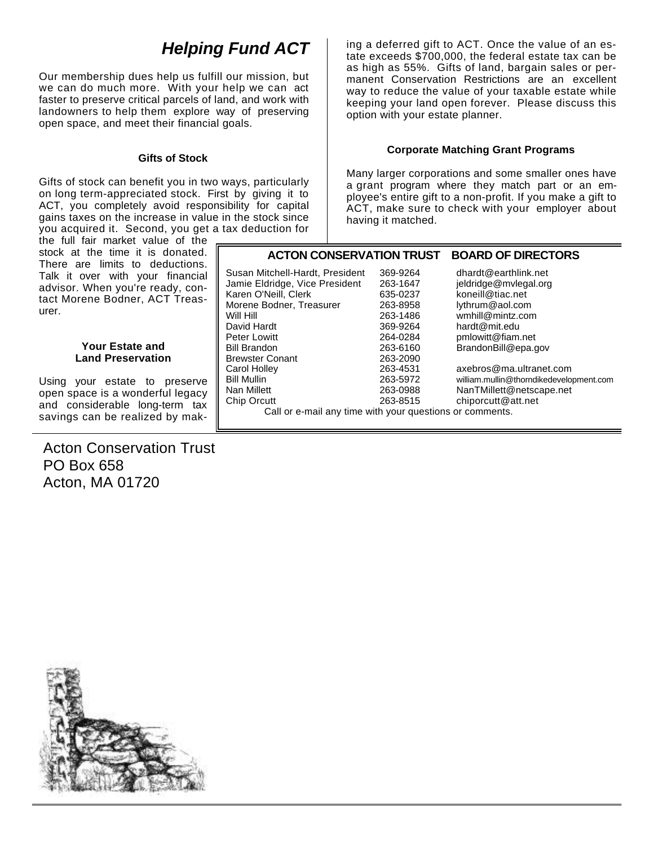### *Helping Fund ACT*

Our membership dues help us fulfill our mission, but we can do much more. With your help we can act faster to preserve critical parcels of land, and work with landowners to help them explore way of preserving open space, and meet their financial goals.

#### **Gifts of Stock**

Gifts of stock can benefit you in two ways, particularly on long term-appreciated stock. First by giving it to ACT, you completely avoid responsibility for capital gains taxes on the increase in value in the stock since you acquired it. Second, you get a tax deduction for

the full fair market value of the stock at the time it is donated. There are limits to deductions. Talk it over with your financial advisor. When you're ready, contact Morene Bodner, ACT Treasurer.

#### **Your Estate and Land Preservation**

Using your estate to preserve open space is a wonderful legacy and considerable long-term tax savings can be realized by mak-

### Acton Conservation Trust PO Box 658 Acton, MA 01720

ing a deferred gift to ACT. Once the value of an estate exceeds \$700,000, the federal estate tax can be as high as 55%. Gifts of land, bargain sales or permanent Conservation Restrictions are an excellent way to reduce the value of your taxable estate while keeping your land open forever. Please discuss this option with your estate planner.

#### **Corporate Matching Grant Programs**

Many larger corporations and some smaller ones have a grant program where they match part or an employee's entire gift to a non-profit. If you make a gift to ACT, make sure to check with your employer about having it matched.

#### **ACTON CONSERVATION TRUST BOARD OF DIRECTORS** Susan Mitchell-Hardt, President 369-9264 dhardt@earthlink.net Jamie Eldridge, Vice President 263-1647 jeldridge@mvlegal.org<br>Karen O'Neill, Clerk 635-0237 koneill@tiac.net Karen O'Neill, Clerk 635-0237 koneill@tiac.net Morene Bodner, Treasurer Will Hill 263-1486 wmhill@mintz.com David Hardt 369-9264 hardt@mit.edu 264-0284 pmlowitt@fiam.net Bill Brandon 263-6160 BrandonBill@epa.gov Brewster Conant 263-2090<br>Carol Holley 263-4531 axebros@ma.ultranet.com Bill Mullin 263-5972 william.mullin@thorndikedevelopment.com Nan Millett 263-0988 NanTMillett@netscape.net chiporcutt@att.net

Call or e-mail any time with your questions or comments.